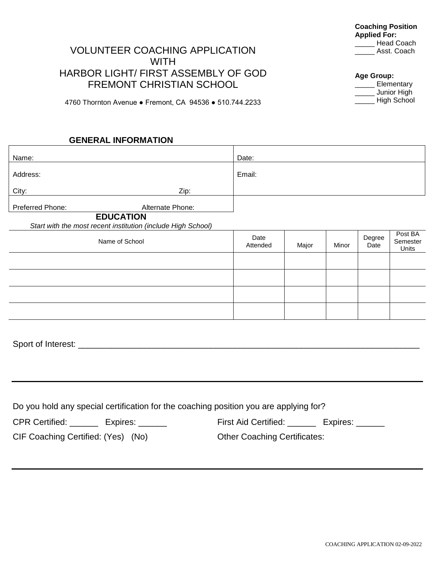## VOLUNTEER COACHING APPLICATION WITH HARBOR LIGHT/ FIRST ASSEMBLY OF GOD FREMONT CHRISTIAN SCHOOL

4760 Thornton Avenue ● Fremont, CA 94536 ● 510.744.2233

### **GENERAL INFORMATION**

| Name:                                                                                 |  | Date:                                         |       |       |                |                              |
|---------------------------------------------------------------------------------------|--|-----------------------------------------------|-------|-------|----------------|------------------------------|
| Address:                                                                              |  | Email:                                        |       |       |                |                              |
| City:<br>Zip:                                                                         |  |                                               |       |       |                |                              |
| Preferred Phone:<br>Alternate Phone:                                                  |  |                                               |       |       |                |                              |
| <b>EDUCATION</b><br>Start with the most recent institution (include High School)      |  |                                               |       |       |                |                              |
| Name of School                                                                        |  | Date<br>Attended                              | Major | Minor | Degree<br>Date | Post BA<br>Semester<br>Units |
|                                                                                       |  |                                               |       |       |                |                              |
|                                                                                       |  |                                               |       |       |                |                              |
|                                                                                       |  |                                               |       |       |                |                              |
|                                                                                       |  |                                               |       |       |                |                              |
|                                                                                       |  |                                               |       |       |                |                              |
|                                                                                       |  |                                               |       |       |                |                              |
|                                                                                       |  |                                               |       |       |                |                              |
|                                                                                       |  |                                               |       |       |                |                              |
|                                                                                       |  |                                               |       |       |                |                              |
| Do you hold any special certification for the coaching position you are applying for? |  |                                               |       |       |                |                              |
| CPR Certified: ________ Expires: ______                                               |  | First Aid Certified: ________ Expires: ______ |       |       |                |                              |
| CIF Coaching Certified: (Yes) (No)                                                    |  | <b>Other Coaching Certificates:</b>           |       |       |                |                              |

**Coaching Position Applied For:** \_\_\_\_\_ Head Coach \_\_\_\_\_ Asst. Coach

**Age Group:**

\_\_\_\_\_ Elementary \_\_\_\_\_ Junior High \_\_\_\_\_ High School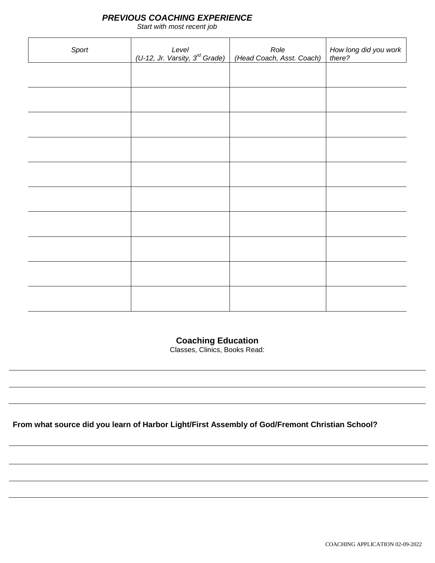### *PREVIOUS COACHING EXPERIENCE*

*Start with most recent job*

| Sport | Level<br><u>(U-12, Jr. Varsity,</u> 3 <sup>rd</sup> Grade) | Role<br>(Head Coach, Asst. Coach) | How long did you work<br>there? |
|-------|------------------------------------------------------------|-----------------------------------|---------------------------------|
|       |                                                            |                                   |                                 |
|       |                                                            |                                   |                                 |
|       |                                                            |                                   |                                 |
|       |                                                            |                                   |                                 |
|       |                                                            |                                   |                                 |
|       |                                                            |                                   |                                 |
|       |                                                            |                                   |                                 |
|       |                                                            |                                   |                                 |
|       |                                                            |                                   |                                 |
|       |                                                            |                                   |                                 |

**Coaching Education**

Classes, Clinics, Books Read:

**From what source did you learn of Harbor Light/First Assembly of God/Fremont Christian School?**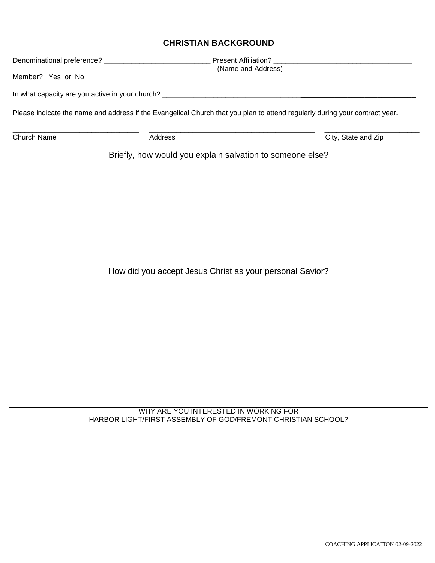## **CHRISTIAN BACKGROUND**

| Denominational preference? ________________     |                                                                                                                             | Present Affiliation? |
|-------------------------------------------------|-----------------------------------------------------------------------------------------------------------------------------|----------------------|
| Member? Yes or No                               | (Name and Address)                                                                                                          |                      |
| In what capacity are you active in your church? |                                                                                                                             |                      |
|                                                 | Please indicate the name and address if the Evangelical Church that you plan to attend regularly during your contract year. |                      |
| <b>Church Name</b>                              | Address                                                                                                                     | City, State and Zip  |
|                                                 | Briefly, how would you explain salvation to someone else?                                                                   |                      |

How did you accept Jesus Christ as your personal Savior?

WHY ARE YOU INTERESTED IN WORKING FOR HARBOR LIGHT/FIRST ASSEMBLY OF GOD/FREMONT CHRISTIAN SCHOOL?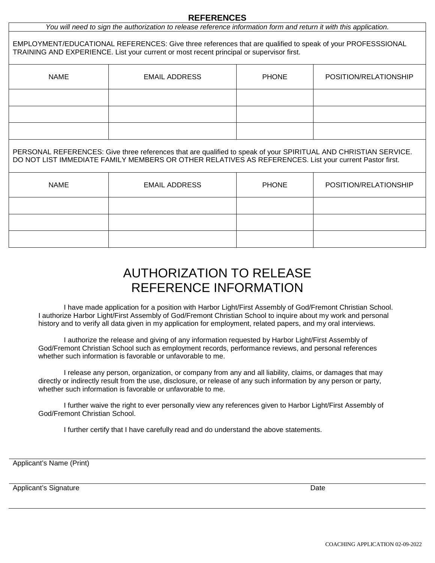#### **REFERENCES**

| You will need to sign the authorization to release reference information form and return it with this application. |  |  |
|--------------------------------------------------------------------------------------------------------------------|--|--|
|                                                                                                                    |  |  |

EMPLOYMENT/EDUCATIONAL REFERENCES: Give three references that are qualified to speak of your PROFESSSIONAL TRAINING AND EXPERIENCE. List your current or most recent principal or supervisor first.

| <b>NAME</b> | <b>EMAIL ADDRESS</b> | <b>PHONE</b> | POSITION/RELATIONSHIP |
|-------------|----------------------|--------------|-----------------------|
|             |                      |              |                       |
|             |                      |              |                       |
|             |                      |              |                       |

PERSONAL REFERENCES: Give three references that are qualified to speak of your SPIRITUAL AND CHRISTIAN SERVICE. DO NOT LIST IMMEDIATE FAMILY MEMBERS OR OTHER RELATIVES AS REFERENCES. List your current Pastor first.

| <b>NAME</b> | <b>EMAIL ADDRESS</b> | <b>PHONE</b> | POSITION/RELATIONSHIP |
|-------------|----------------------|--------------|-----------------------|
|             |                      |              |                       |
|             |                      |              |                       |
|             |                      |              |                       |

# AUTHORIZATION TO RELEASE REFERENCE INFORMATION

I have made application for a position with Harbor Light/First Assembly of God/Fremont Christian School. I authorize Harbor Light/First Assembly of God/Fremont Christian School to inquire about my work and personal history and to verify all data given in my application for employment, related papers, and my oral interviews.

I authorize the release and giving of any information requested by Harbor Light/First Assembly of God/Fremont Christian School such as employment records, performance reviews, and personal references whether such information is favorable or unfavorable to me.

I release any person, organization, or company from any and all liability, claims, or damages that may directly or indirectly result from the use, disclosure, or release of any such information by any person or party, whether such information is favorable or unfavorable to me.

I further waive the right to ever personally view any references given to Harbor Light/First Assembly of God/Fremont Christian School.

I further certify that I have carefully read and do understand the above statements.

Applicant's Name (Print)

Applicant's Signature **Date** Date of *Applicant's Signature* Date of *Date* Date of *Date* Date of *Date* Date of *Date* Date of *Date* Date of *Date* of *Date* of *Date* of *Date* of *Date* of *Date* of *Date* of *Date* o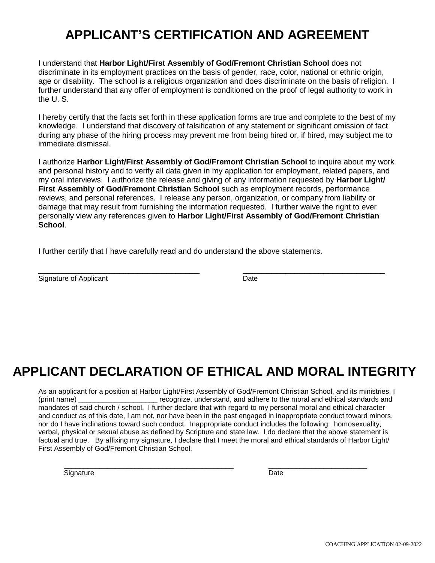# **APPLICANT'S CERTIFICATION AND AGREEMENT**

I understand that **Harbor Light/First Assembly of God/Fremont Christian School** does not discriminate in its employment practices on the basis of gender, race, color, national or ethnic origin, age or disability. The school is a religious organization and does discriminate on the basis of religion. I further understand that any offer of employment is conditioned on the proof of legal authority to work in the U. S.

I hereby certify that the facts set forth in these application forms are true and complete to the best of my knowledge. I understand that discovery of falsification of any statement or significant omission of fact during any phase of the hiring process may prevent me from being hired or, if hired, may subject me to immediate dismissal.

I authorize **Harbor Light/First Assembly of God/Fremont Christian School** to inquire about my work and personal history and to verify all data given in my application for employment, related papers, and my oral interviews. I authorize the release and giving of any information requested by **Harbor Light/ First Assembly of God/Fremont Christian School** such as employment records, performance reviews, and personal references. I release any person, organization, or company from liability or damage that may result from furnishing the information requested. I further waive the right to ever personally view any references given to **Harbor Light/First Assembly of God/Fremont Christian School**.

I further certify that I have carefully read and do understand the above statements.

| Signature of<br>▵ | )ate<br>. |  |
|-------------------|-----------|--|

# **APPLICANT DECLARATION OF ETHICAL AND MORAL INTEGRITY**

As an applicant for a position at Harbor Light/First Assembly of God/Fremont Christian School, and its ministries, I (print name) example and recognize, understand, and adhere to the moral and ethical standards and mandates of said church / school. I further declare that with regard to my personal moral and ethical character and conduct as of this date, I am not, nor have been in the past engaged in inappropriate conduct toward minors, nor do I have inclinations toward such conduct. Inappropriate conduct includes the following: homosexuality, verbal, physical or sexual abuse as defined by Scripture and state law. I do declare that the above statement is factual and true. By affixing my signature, I declare that I meet the moral and ethical standards of Harbor Light/ First Assembly of God/Fremont Christian School.

Signature Date **Date** 

\_\_\_\_\_\_\_\_\_\_\_\_\_\_\_\_\_\_\_\_\_\_\_\_\_\_\_\_\_\_\_\_\_\_\_\_\_\_\_\_\_\_\_ \_\_\_\_\_\_\_\_\_\_\_\_\_\_\_\_\_\_\_\_\_\_\_\_\_